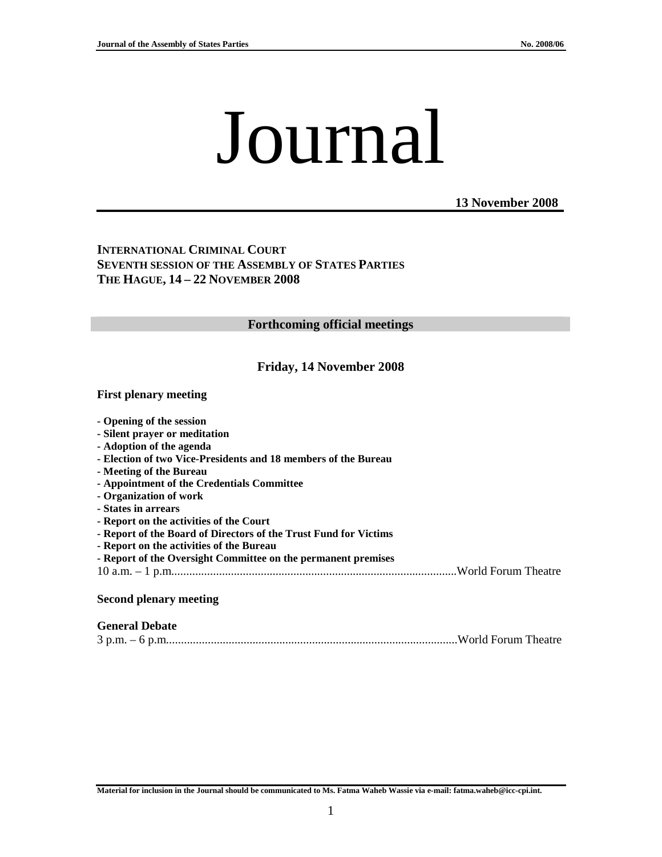# Journal

**13 November 2008**

**INTERNATIONAL CRIMINAL COURT SEVENTH SESSION OF THE ASSEMBLY OF STATES PARTIES THE HAGUE, 14 – 22 NOVEMBER 2008** 

#### **Forthcoming official meetings**

#### **Friday, 14 November 2008**

#### **First plenary meeting**

|  | - Opening of the session |  |  |  |  |
|--|--------------------------|--|--|--|--|
|--|--------------------------|--|--|--|--|

- **Silent prayer or meditation**
- **Adoption of the agenda**
- **Election of two Vice-Presidents and 18 members of the Bureau**
- **Meeting of the Bureau**
- **Appointment of the Credentials Committee**
- **Organization of work**
- **States in arrears**
- **Report on the activities of the Court**
- **Report of the Board of Directors of the Trust Fund for Victims**
- **Report on the activities of the Bureau**
- **Report of the Oversight Committee on the permanent premises**
- 10 a.m. 1 p.m................................................................................................World Forum Theatre

#### **Second plenary meeting**

#### **General Debate**

|--|--|--|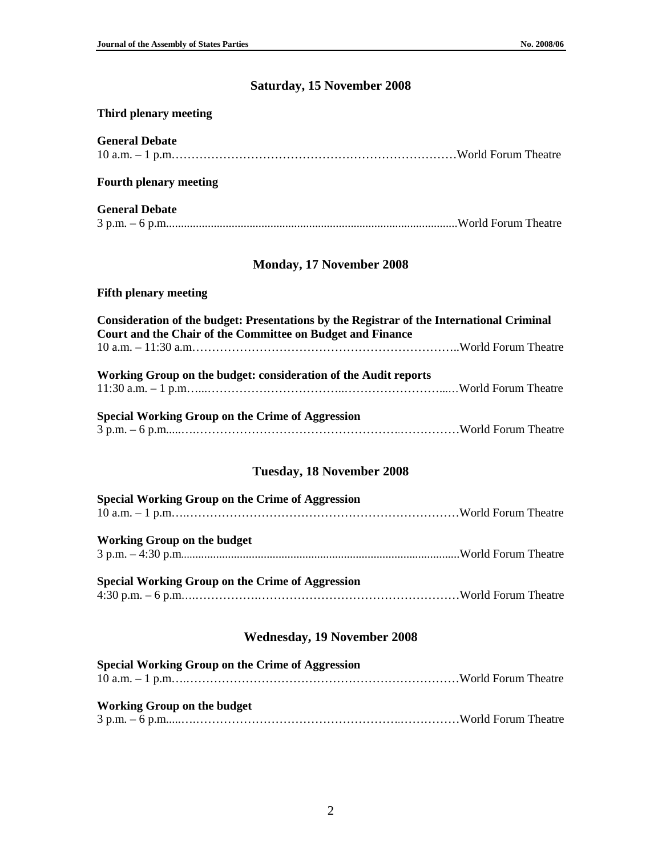# **Saturday, 15 November 2008**

## **Third plenary meeting**

| <b>General Debate</b>                                                                                                                                   |  |  |  |  |
|---------------------------------------------------------------------------------------------------------------------------------------------------------|--|--|--|--|
| <b>Fourth plenary meeting</b>                                                                                                                           |  |  |  |  |
| <b>General Debate</b>                                                                                                                                   |  |  |  |  |
| <b>Monday, 17 November 2008</b>                                                                                                                         |  |  |  |  |
| <b>Fifth plenary meeting</b>                                                                                                                            |  |  |  |  |
| Consideration of the budget: Presentations by the Registrar of the International Criminal<br>Court and the Chair of the Committee on Budget and Finance |  |  |  |  |
| Working Group on the budget: consideration of the Audit reports                                                                                         |  |  |  |  |
| <b>Special Working Group on the Crime of Aggression</b>                                                                                                 |  |  |  |  |
| Tuesday, 18 November 2008                                                                                                                               |  |  |  |  |
| <b>Special Working Group on the Crime of Aggression</b>                                                                                                 |  |  |  |  |
| <b>Working Group on the budget</b>                                                                                                                      |  |  |  |  |

| <b>Special Working Group on the Crime of Aggression</b> |  |
|---------------------------------------------------------|--|
|                                                         |  |

## **Wednesday, 19 November 2008**

| Special Working Group on the Crime of Aggression |  |
|--------------------------------------------------|--|
|                                                  |  |
| Working Group on the budget                      |  |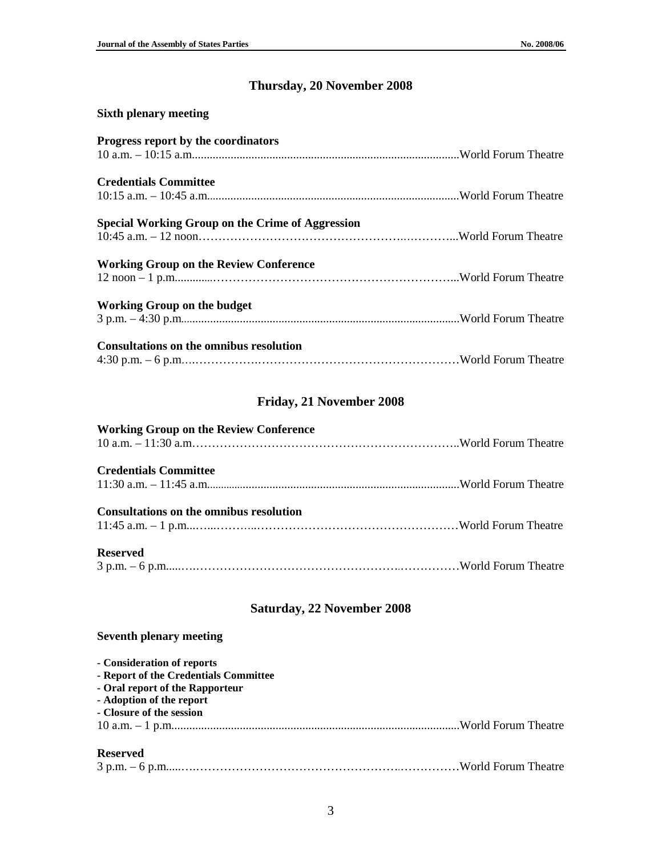# **Thursday, 20 November 2008**

| <b>Sixth plenary meeting</b>                            |  |
|---------------------------------------------------------|--|
| Progress report by the coordinators                     |  |
|                                                         |  |
| <b>Credentials Committee</b>                            |  |
|                                                         |  |
| <b>Special Working Group on the Crime of Aggression</b> |  |
|                                                         |  |
| <b>Working Group on the Review Conference</b>           |  |
|                                                         |  |
| <b>Working Group on the budget</b>                      |  |
|                                                         |  |
| <b>Consultations on the omnibus resolution</b>          |  |
|                                                         |  |

## **Friday, 21 November 2008**

| <b>Working Group on the Review Conference</b> |  |
|-----------------------------------------------|--|
| <b>Credentials Committee</b>                  |  |
| Consultations on the omnibus resolution       |  |
| <b>Reserved</b>                               |  |

## **Saturday, 22 November 2008**

### **Seventh plenary meeting**

| - Consideration of reports            |  |
|---------------------------------------|--|
| - Report of the Credentials Committee |  |
| - Oral report of the Rapporteur       |  |
| - Adoption of the report              |  |
| - Closure of the session              |  |
|                                       |  |
| <b>Reserved</b>                       |  |

|--|--|--|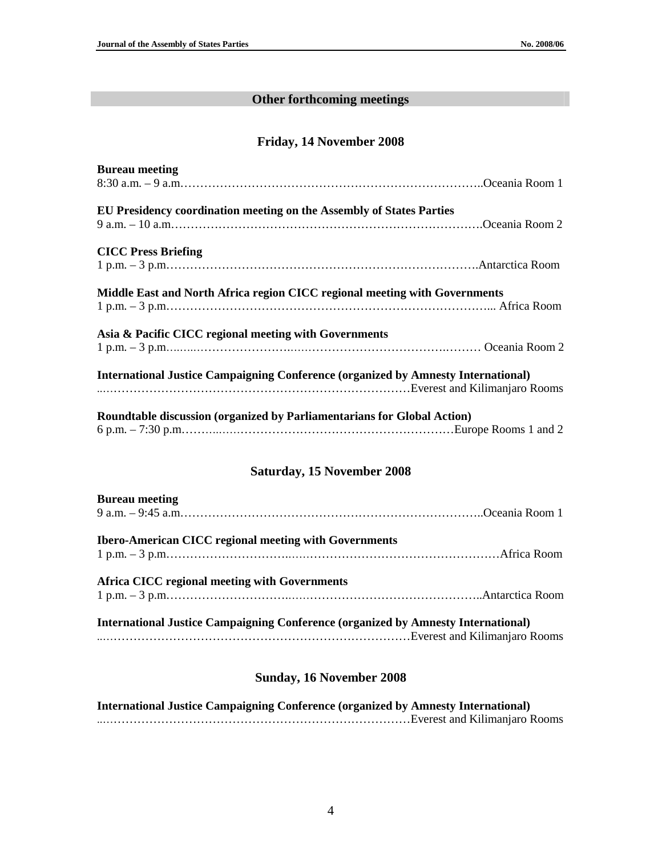## **Other forthcoming meetings**

### **Friday, 14 November 2008**

| <b>Bureau meeting</b>                                                                    |  |
|------------------------------------------------------------------------------------------|--|
|                                                                                          |  |
|                                                                                          |  |
| EU Presidency coordination meeting on the Assembly of States Parties                     |  |
|                                                                                          |  |
|                                                                                          |  |
| <b>CICC Press Briefing</b>                                                               |  |
|                                                                                          |  |
|                                                                                          |  |
| Middle East and North Africa region CICC regional meeting with Governments               |  |
|                                                                                          |  |
| Asia & Pacific CICC regional meeting with Governments                                    |  |
| $1 p.m. - 3 p.m.$ Coeania Room 2                                                         |  |
|                                                                                          |  |
| <b>International Justice Campaigning Conference (organized by Amnesty International)</b> |  |
|                                                                                          |  |
|                                                                                          |  |
| Roundtable discussion (organized by Parliamentarians for Global Action)                  |  |
|                                                                                          |  |

## **Saturday, 15 November 2008**

| <b>Bureau meeting</b>                                                                    |  |
|------------------------------------------------------------------------------------------|--|
|                                                                                          |  |
|                                                                                          |  |
| <b>Ibero-American CICC regional meeting with Governments</b>                             |  |
|                                                                                          |  |
|                                                                                          |  |
| Africa CICC regional meeting with Governments                                            |  |
|                                                                                          |  |
|                                                                                          |  |
| <b>International Justice Campaigning Conference (organized by Amnesty International)</b> |  |
| Everest and Kilimanjaro Rooms                                                            |  |

#### **Sunday, 16 November 2008**

**International Justice Campaigning Conference (organized by Amnesty International)**  ..……………………………………………………………………Everest and Kilimanjaro Rooms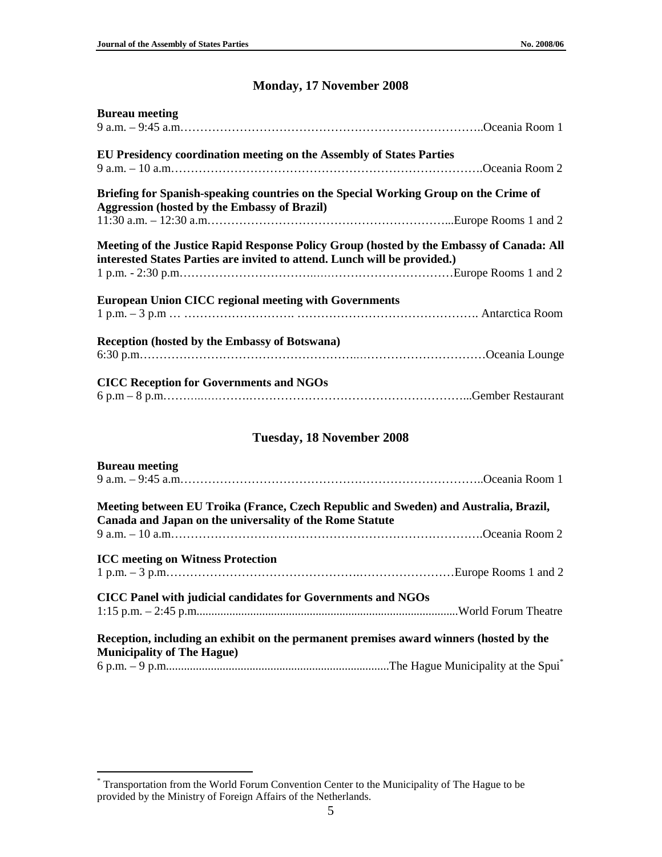## **Monday, 17 November 2008**

| <b>Bureau meeting</b>                                                                                                                                                 |  |
|-----------------------------------------------------------------------------------------------------------------------------------------------------------------------|--|
| EU Presidency coordination meeting on the Assembly of States Parties                                                                                                  |  |
|                                                                                                                                                                       |  |
| Briefing for Spanish-speaking countries on the Special Working Group on the Crime of<br><b>Aggression (hosted by the Embassy of Brazil)</b>                           |  |
|                                                                                                                                                                       |  |
| Meeting of the Justice Rapid Response Policy Group (hosted by the Embassy of Canada: All<br>interested States Parties are invited to attend. Lunch will be provided.) |  |
| <b>European Union CICC regional meeting with Governments</b>                                                                                                          |  |
| <b>Reception (hosted by the Embassy of Botswana)</b>                                                                                                                  |  |
| <b>CICC Reception for Governments and NGOs</b>                                                                                                                        |  |

## **Tuesday, 18 November 2008**

| <b>Bureau meeting</b>                                                                                                                            |  |
|--------------------------------------------------------------------------------------------------------------------------------------------------|--|
|                                                                                                                                                  |  |
| Meeting between EU Troika (France, Czech Republic and Sweden) and Australia, Brazil,<br>Canada and Japan on the universality of the Rome Statute |  |
|                                                                                                                                                  |  |
| <b>ICC</b> meeting on Witness Protection                                                                                                         |  |
| CICC Panel with judicial candidates for Governments and NGOs                                                                                     |  |
|                                                                                                                                                  |  |
| Reception, including an exhibit on the permanent premises award winners (hosted by the                                                           |  |
| <b>Municipality of The Hague)</b>                                                                                                                |  |
|                                                                                                                                                  |  |

 \* Transportation from the World Forum Convention Center to the Municipality of The Hague to be provided by the Ministry of Foreign Affairs of the Netherlands.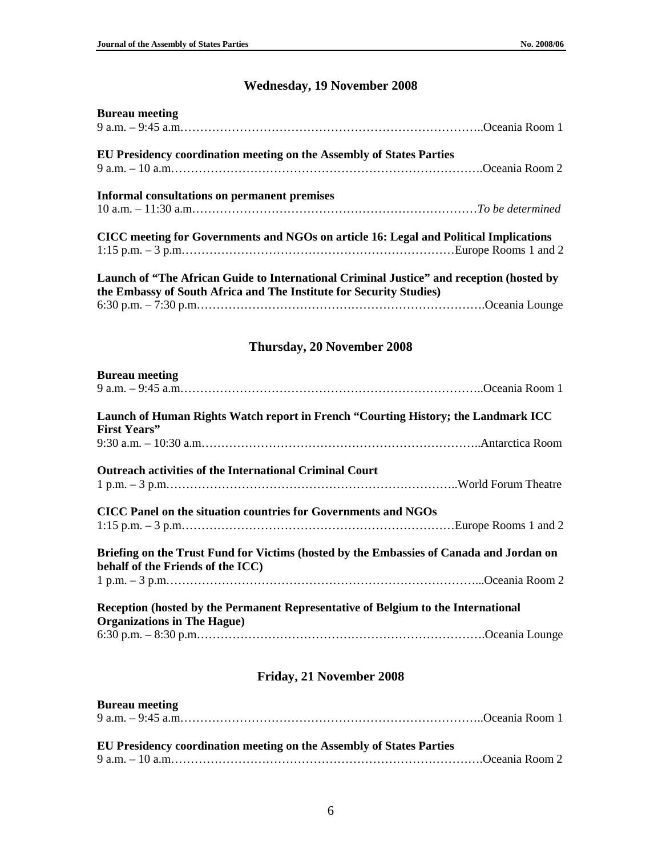# **Wednesday, 19 November 2008**

| <b>Bureau meeting</b>                                                                                                                                           |  |  |
|-----------------------------------------------------------------------------------------------------------------------------------------------------------------|--|--|
| EU Presidency coordination meeting on the Assembly of States Parties                                                                                            |  |  |
| Informal consultations on permanent premises                                                                                                                    |  |  |
| CICC meeting for Governments and NGOs on article 16: Legal and Political Implications                                                                           |  |  |
| Launch of "The African Guide to International Criminal Justice" and reception (hosted by<br>the Embassy of South Africa and The Institute for Security Studies) |  |  |
|                                                                                                                                                                 |  |  |
| Thursday, 20 November 2008                                                                                                                                      |  |  |
| <b>Bureau meeting</b>                                                                                                                                           |  |  |
| Launch of Human Rights Watch report in French "Courting History; the Landmark ICC                                                                               |  |  |
| <b>First Years"</b>                                                                                                                                             |  |  |
| <b>Outreach activities of the International Criminal Court</b>                                                                                                  |  |  |
| CICC Panel on the situation countries for Governments and NGOs                                                                                                  |  |  |
| Briefing on the Trust Fund for Victims (hosted by the Embassies of Canada and Jordan on                                                                         |  |  |
| behalf of the Friends of the ICC)                                                                                                                               |  |  |
| Reception (hosted by the Permanent Representative of Belgium to the International<br><b>Organizations in The Hague)</b>                                         |  |  |
|                                                                                                                                                                 |  |  |
| Friday, 21 November 2008                                                                                                                                        |  |  |
| <b>Bureau</b> meeting                                                                                                                                           |  |  |

| EU Presidency coordination meeting on the Assembly of States Parties |  |
|----------------------------------------------------------------------|--|
|                                                                      |  |